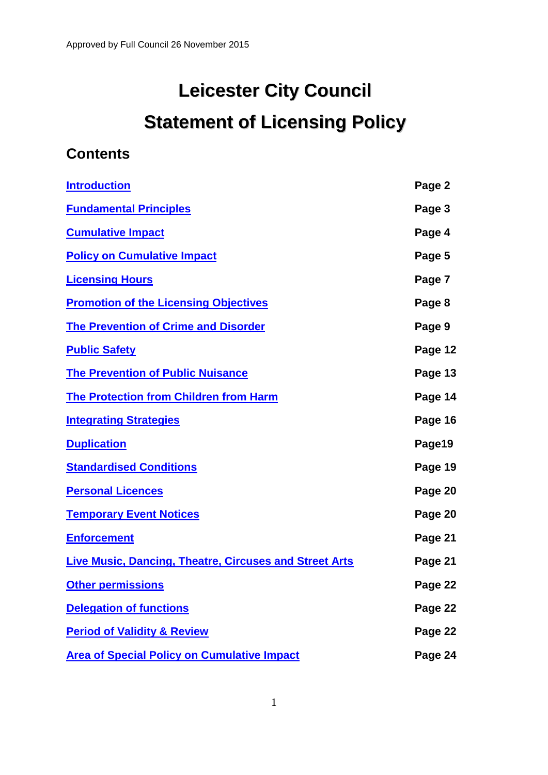# **Leicester City Council Statement of Licensing Policy**

### **Contents**

| <b>Introduction</b>                                           | Page 2  |
|---------------------------------------------------------------|---------|
| <b>Fundamental Principles</b>                                 | Page 3  |
| <b>Cumulative Impact</b>                                      | Page 4  |
| <b>Policy on Cumulative Impact</b>                            | Page 5  |
| <b>Licensing Hours</b>                                        | Page 7  |
| <b>Promotion of the Licensing Objectives</b>                  | Page 8  |
| <b>The Prevention of Crime and Disorder</b>                   | Page 9  |
| <b>Public Safety</b>                                          | Page 12 |
| <b>The Prevention of Public Nuisance</b>                      | Page 13 |
| <b>The Protection from Children from Harm</b>                 | Page 14 |
| <b>Integrating Strategies</b>                                 | Page 16 |
| <b>Duplication</b>                                            | Page19  |
| <b>Standardised Conditions</b>                                | Page 19 |
| <b>Personal Licences</b>                                      | Page 20 |
| <b>Temporary Event Notices</b>                                | Page 20 |
| <b>Enforcement</b>                                            | Page 21 |
| <b>Live Music, Dancing, Theatre, Circuses and Street Arts</b> | Page 21 |
| <b>Other permissions</b>                                      | Page 22 |
| <b>Delegation of functions</b>                                | Page 22 |
| <b>Period of Validity &amp; Review</b>                        | Page 22 |
| <b>Area of Special Policy on Cumulative Impact</b>            | Page 24 |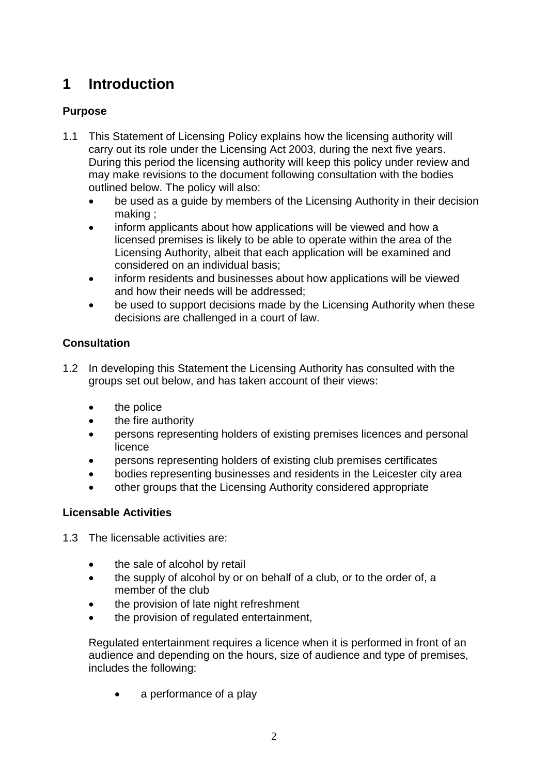# <span id="page-1-0"></span>**1 Introduction**

#### **Purpose**

- 1.1 This Statement of Licensing Policy explains how the licensing authority will carry out its role under the Licensing Act 2003, during the next five years. During this period the licensing authority will keep this policy under review and may make revisions to the document following consultation with the bodies outlined below. The policy will also:
	- be used as a guide by members of the Licensing Authority in their decision making ;
	- inform applicants about how applications will be viewed and how a licensed premises is likely to be able to operate within the area of the Licensing Authority, albeit that each application will be examined and considered on an individual basis;
	- inform residents and businesses about how applications will be viewed and how their needs will be addressed;
	- be used to support decisions made by the Licensing Authority when these decisions are challenged in a court of law.

#### **Consultation**

- 1.2 In developing this Statement the Licensing Authority has consulted with the groups set out below, and has taken account of their views:
	- the police
	- the fire authority
	- persons representing holders of existing premises licences and personal licence
	- persons representing holders of existing club premises certificates
	- bodies representing businesses and residents in the Leicester city area
	- other groups that the Licensing Authority considered appropriate

#### **Licensable Activities**

- 1.3 The licensable activities are:
	- the sale of alcohol by retail
	- the supply of alcohol by or on behalf of a club, or to the order of, a member of the club
	- the provision of late night refreshment
	- the provision of regulated entertainment,

Regulated entertainment requires a licence when it is performed in front of an audience and depending on the hours, size of audience and type of premises, includes the following:

a performance of a play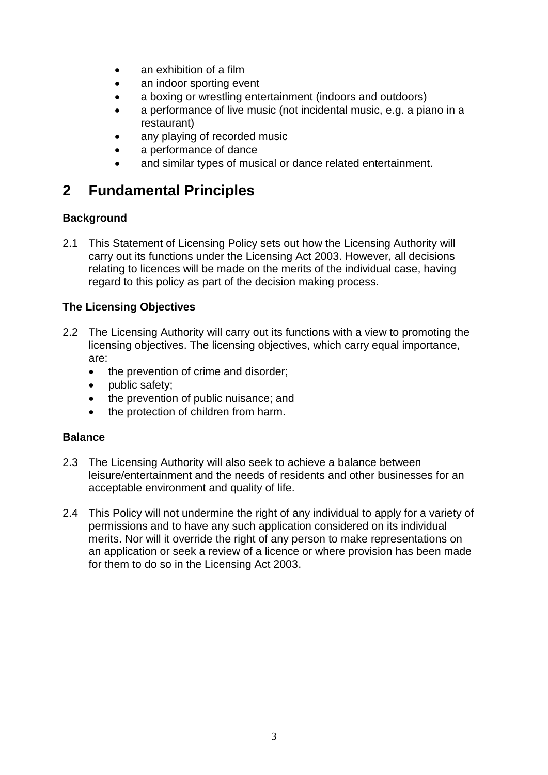- an exhibition of a film
- an indoor sporting event
- a boxing or wrestling entertainment (indoors and outdoors)
- a performance of live music (not incidental music, e.g. a piano in a restaurant)
- any playing of recorded music
- a performance of dance
- and similar types of musical or dance related entertainment.

### <span id="page-2-0"></span>**2 Fundamental Principles**

#### **Background**

2.1 This Statement of Licensing Policy sets out how the Licensing Authority will carry out its functions under the Licensing Act 2003. However, all decisions relating to licences will be made on the merits of the individual case, having regard to this policy as part of the decision making process.

#### **The Licensing Objectives**

- 2.2 The Licensing Authority will carry out its functions with a view to promoting the licensing objectives. The licensing objectives, which carry equal importance, are:
	- the prevention of crime and disorder;
	- public safety;
	- the prevention of public nuisance; and
	- the protection of children from harm.

#### **Balance**

- 2.3 The Licensing Authority will also seek to achieve a balance between leisure/entertainment and the needs of residents and other businesses for an acceptable environment and quality of life.
- 2.4 This Policy will not undermine the right of any individual to apply for a variety of permissions and to have any such application considered on its individual merits. Nor will it override the right of any person to make representations on an application or seek a review of a licence or where provision has been made for them to do so in the Licensing Act 2003.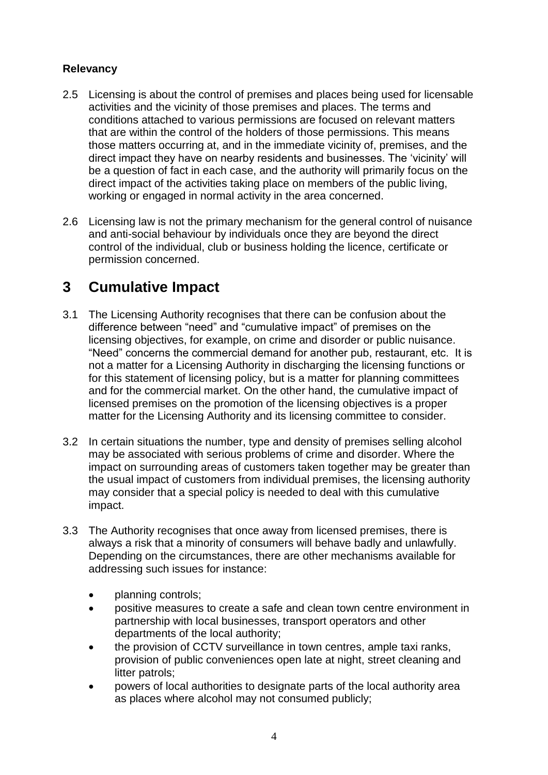#### **Relevancy**

- 2.5 Licensing is about the control of premises and places being used for licensable activities and the vicinity of those premises and places. The terms and conditions attached to various permissions are focused on relevant matters that are within the control of the holders of those permissions. This means those matters occurring at, and in the immediate vicinity of, premises, and the direct impact they have on nearby residents and businesses. The 'vicinity' will be a question of fact in each case, and the authority will primarily focus on the direct impact of the activities taking place on members of the public living, working or engaged in normal activity in the area concerned.
- 2.6 Licensing law is not the primary mechanism for the general control of nuisance and anti-social behaviour by individuals once they are beyond the direct control of the individual, club or business holding the licence, certificate or permission concerned.

## <span id="page-3-0"></span>**3 Cumulative Impact**

- 3.1 The Licensing Authority recognises that there can be confusion about the difference between "need" and "cumulative impact" of premises on the licensing objectives, for example, on crime and disorder or public nuisance. "Need" concerns the commercial demand for another pub, restaurant, etc. It is not a matter for a Licensing Authority in discharging the licensing functions or for this statement of licensing policy, but is a matter for planning committees and for the commercial market. On the other hand, the cumulative impact of licensed premises on the promotion of the licensing objectives is a proper matter for the Licensing Authority and its licensing committee to consider.
- 3.2 In certain situations the number, type and density of premises selling alcohol may be associated with serious problems of crime and disorder. Where the impact on surrounding areas of customers taken together may be greater than the usual impact of customers from individual premises, the licensing authority may consider that a special policy is needed to deal with this cumulative impact.
- 3.3 The Authority recognises that once away from licensed premises, there is always a risk that a minority of consumers will behave badly and unlawfully. Depending on the circumstances, there are other mechanisms available for addressing such issues for instance:
	- planning controls;
	- positive measures to create a safe and clean town centre environment in partnership with local businesses, transport operators and other departments of the local authority;
	- the provision of CCTV surveillance in town centres, ample taxi ranks, provision of public conveniences open late at night, street cleaning and litter patrols;
	- powers of local authorities to designate parts of the local authority area as places where alcohol may not consumed publicly;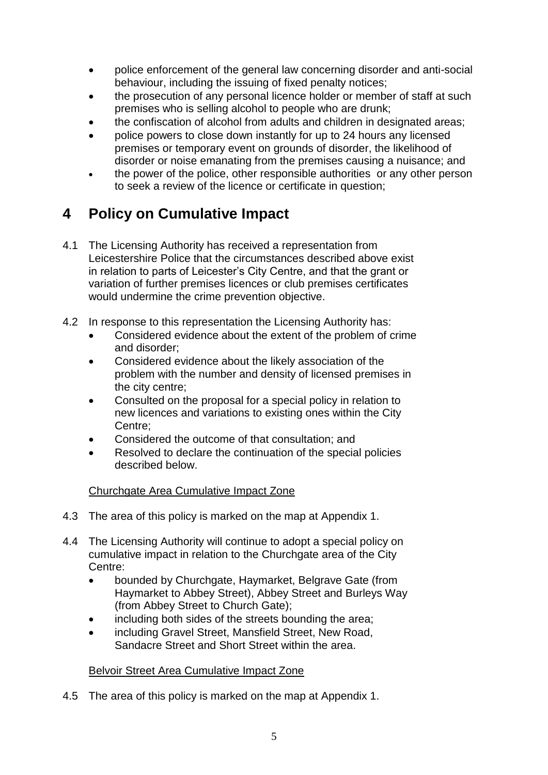- police enforcement of the general law concerning disorder and anti-social behaviour, including the issuing of fixed penalty notices;
- the prosecution of any personal licence holder or member of staff at such premises who is selling alcohol to people who are drunk;
- the confiscation of alcohol from adults and children in designated areas;
- police powers to close down instantly for up to 24 hours any licensed premises or temporary event on grounds of disorder, the likelihood of disorder or noise emanating from the premises causing a nuisance; and
- the power of the police, other responsible authorities or any other person to seek a review of the licence or certificate in question;

# <span id="page-4-0"></span>**4 Policy on Cumulative Impact**

- 4.1 The Licensing Authority has received a representation from Leicestershire Police that the circumstances described above exist in relation to parts of Leicester's City Centre, and that the grant or variation of further premises licences or club premises certificates would undermine the crime prevention objective.
- 4.2 In response to this representation the Licensing Authority has:
	- Considered evidence about the extent of the problem of crime and disorder;
	- Considered evidence about the likely association of the problem with the number and density of licensed premises in the city centre;
	- Consulted on the proposal for a special policy in relation to new licences and variations to existing ones within the City Centre;
	- Considered the outcome of that consultation; and
	- Resolved to declare the continuation of the special policies described below.

#### Churchgate Area Cumulative Impact Zone

- 4.3 The area of this policy is marked on the map at Appendix 1.
- 4.4 The Licensing Authority will continue to adopt a special policy on cumulative impact in relation to the Churchgate area of the City Centre:
	- bounded by Churchgate, Haymarket, Belgrave Gate (from Haymarket to Abbey Street), Abbey Street and Burleys Way (from Abbey Street to Church Gate);
	- including both sides of the streets bounding the area;
	- including Gravel Street, Mansfield Street, New Road, Sandacre Street and Short Street within the area.

#### Belvoir Street Area Cumulative Impact Zone

4.5 The area of this policy is marked on the map at Appendix 1.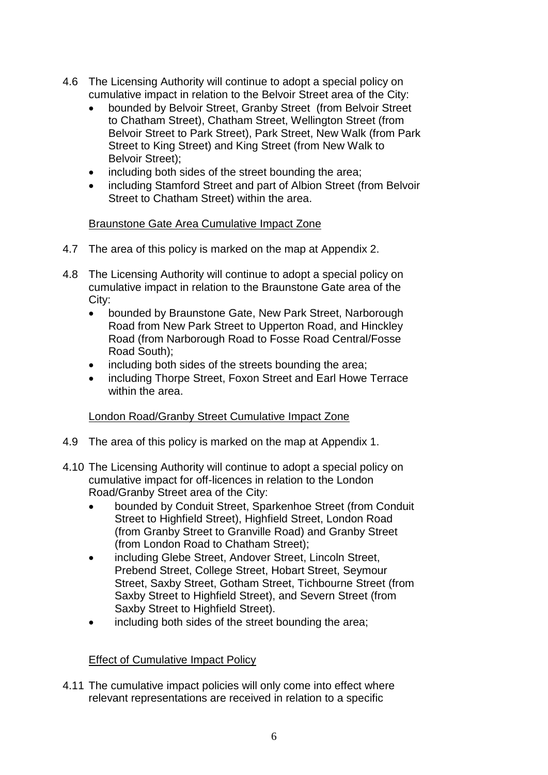- 4.6 The Licensing Authority will continue to adopt a special policy on cumulative impact in relation to the Belvoir Street area of the City:
	- bounded by Belvoir Street, Granby Street (from Belvoir Street to Chatham Street), Chatham Street, Wellington Street (from Belvoir Street to Park Street), Park Street, New Walk (from Park Street to King Street) and King Street (from New Walk to Belvoir Street);
	- including both sides of the street bounding the area;
	- including Stamford Street and part of Albion Street (from Belvoir Street to Chatham Street) within the area.

#### Braunstone Gate Area Cumulative Impact Zone

- 4.7 The area of this policy is marked on the map at Appendix 2.
- 4.8 The Licensing Authority will continue to adopt a special policy on cumulative impact in relation to the Braunstone Gate area of the City:
	- bounded by Braunstone Gate, New Park Street, Narborough Road from New Park Street to Upperton Road, and Hinckley Road (from Narborough Road to Fosse Road Central/Fosse Road South);
	- including both sides of the streets bounding the area;
	- including Thorpe Street, Foxon Street and Earl Howe Terrace within the area.

#### London Road/Granby Street Cumulative Impact Zone

- 4.9 The area of this policy is marked on the map at Appendix 1.
- 4.10 The Licensing Authority will continue to adopt a special policy on cumulative impact for off-licences in relation to the London Road/Granby Street area of the City:
	- bounded by Conduit Street, Sparkenhoe Street (from Conduit Street to Highfield Street), Highfield Street, London Road (from Granby Street to Granville Road) and Granby Street (from London Road to Chatham Street);
	- including Glebe Street, Andover Street, Lincoln Street, Prebend Street, College Street, Hobart Street, Seymour Street, Saxby Street, Gotham Street, Tichbourne Street (from Saxby Street to Highfield Street), and Severn Street (from Saxby Street to Highfield Street).
	- including both sides of the street bounding the area;

#### Effect of Cumulative Impact Policy

4.11 The cumulative impact policies will only come into effect where relevant representations are received in relation to a specific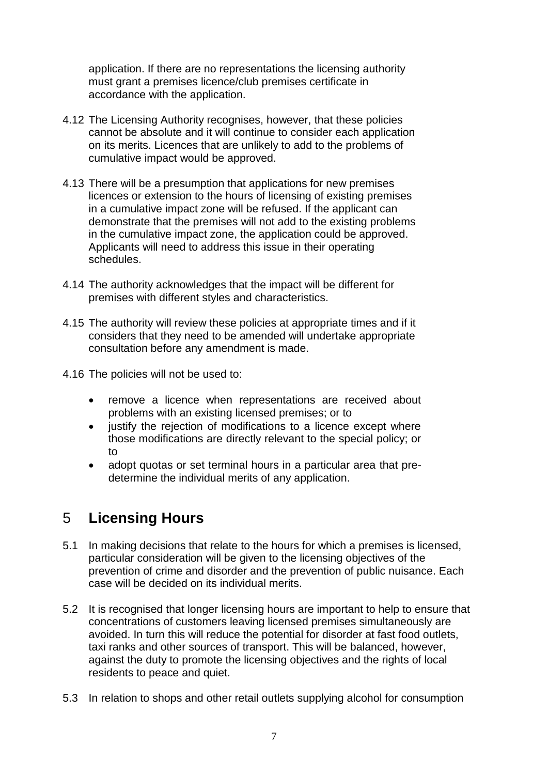application. If there are no representations the licensing authority must grant a premises licence/club premises certificate in accordance with the application.

- 4.12 The Licensing Authority recognises, however, that these policies cannot be absolute and it will continue to consider each application on its merits. Licences that are unlikely to add to the problems of cumulative impact would be approved.
- 4.13 There will be a presumption that applications for new premises licences or extension to the hours of licensing of existing premises in a cumulative impact zone will be refused. If the applicant can demonstrate that the premises will not add to the existing problems in the cumulative impact zone, the application could be approved. Applicants will need to address this issue in their operating schedules.
- 4.14 The authority acknowledges that the impact will be different for premises with different styles and characteristics.
- 4.15 The authority will review these policies at appropriate times and if it considers that they need to be amended will undertake appropriate consultation before any amendment is made.
- 4.16 The policies will not be used to:
	- remove a licence when representations are received about problems with an existing licensed premises; or to
	- justify the rejection of modifications to a licence except where those modifications are directly relevant to the special policy; or to
	- adopt quotas or set terminal hours in a particular area that predetermine the individual merits of any application.

# 5 **Licensing Hours**

- 5.1 In making decisions that relate to the hours for which a premises is licensed, particular consideration will be given to the licensing objectives of the prevention of crime and disorder and the prevention of public nuisance. Each case will be decided on its individual merits.
- 5.2 It is recognised that longer licensing hours are important to help to ensure that concentrations of customers leaving licensed premises simultaneously are avoided. In turn this will reduce the potential for disorder at fast food outlets, taxi ranks and other sources of transport. This will be balanced, however, against the duty to promote the licensing objectives and the rights of local residents to peace and quiet.
- 5.3 In relation to shops and other retail outlets supplying alcohol for consumption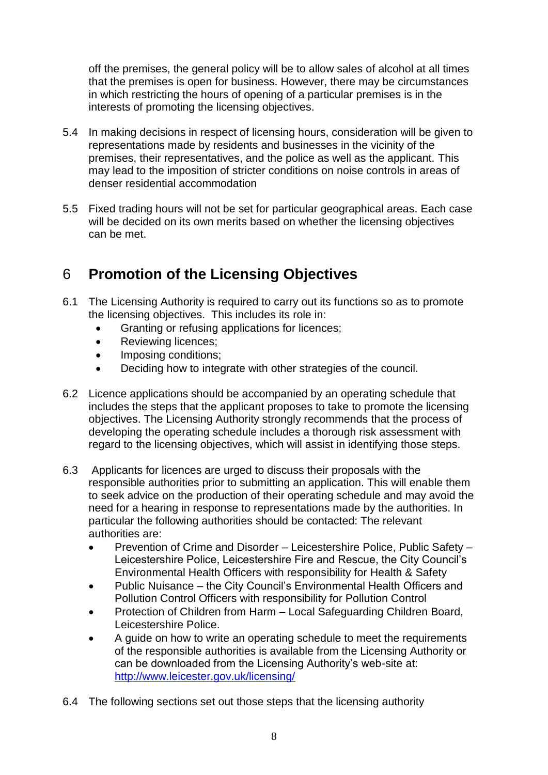off the premises, the general policy will be to allow sales of alcohol at all times that the premises is open for business. However, there may be circumstances in which restricting the hours of opening of a particular premises is in the interests of promoting the licensing objectives.

- 5.4 In making decisions in respect of licensing hours, consideration will be given to representations made by residents and businesses in the vicinity of the premises, their representatives, and the police as well as the applicant. This may lead to the imposition of stricter conditions on noise controls in areas of denser residential accommodation
- 5.5 Fixed trading hours will not be set for particular geographical areas. Each case will be decided on its own merits based on whether the licensing objectives can be met.

## <span id="page-7-0"></span>6 **Promotion of the Licensing Objectives**

- 6.1 The Licensing Authority is required to carry out its functions so as to promote the licensing objectives. This includes its role in:
	- Granting or refusing applications for licences;
	- Reviewing licences:
	- Imposing conditions;
	- Deciding how to integrate with other strategies of the council.
- 6.2 Licence applications should be accompanied by an operating schedule that includes the steps that the applicant proposes to take to promote the licensing objectives. The Licensing Authority strongly recommends that the process of developing the operating schedule includes a thorough risk assessment with regard to the licensing objectives, which will assist in identifying those steps.
- 6.3 Applicants for licences are urged to discuss their proposals with the responsible authorities prior to submitting an application. This will enable them to seek advice on the production of their operating schedule and may avoid the need for a hearing in response to representations made by the authorities. In particular the following authorities should be contacted: The relevant authorities are:
	- Prevention of Crime and Disorder Leicestershire Police, Public Safety Leicestershire Police, Leicestershire Fire and Rescue, the City Council's Environmental Health Officers with responsibility for Health & Safety
	- Public Nuisance the City Council's Environmental Health Officers and Pollution Control Officers with responsibility for Pollution Control
	- Protection of Children from Harm Local Safeguarding Children Board, Leicestershire Police.
	- A guide on how to write an operating schedule to meet the requirements of the responsible authorities is available from the Licensing Authority or can be downloaded from the Licensing Authority's web-site at: <http://www.leicester.gov.uk/licensing/>
- 6.4 The following sections set out those steps that the licensing authority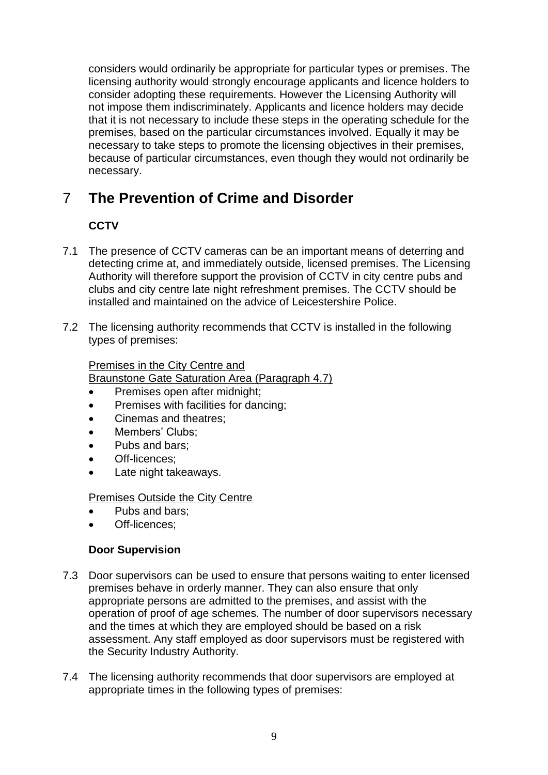considers would ordinarily be appropriate for particular types or premises. The licensing authority would strongly encourage applicants and licence holders to consider adopting these requirements. However the Licensing Authority will not impose them indiscriminately. Applicants and licence holders may decide that it is not necessary to include these steps in the operating schedule for the premises, based on the particular circumstances involved. Equally it may be necessary to take steps to promote the licensing objectives in their premises, because of particular circumstances, even though they would not ordinarily be necessary.

# <span id="page-8-0"></span>7 **The Prevention of Crime and Disorder**

### **CCTV**

- 7.1 The presence of CCTV cameras can be an important means of deterring and detecting crime at, and immediately outside, licensed premises. The Licensing Authority will therefore support the provision of CCTV in city centre pubs and clubs and city centre late night refreshment premises. The CCTV should be installed and maintained on the advice of Leicestershire Police.
- 7.2 The licensing authority recommends that CCTV is installed in the following types of premises:

#### Premises in the City Centre and

Braunstone Gate Saturation Area (Paragraph 4.7)

- Premises open after midnight;
- Premises with facilities for dancing;
- Cinemas and theatres;
- Members' Clubs;
- Pubs and bars;
- Off-licences;
- Late night takeaways.

Premises Outside the City Centre

- Pubs and bars;
- Off-licences;

#### **Door Supervision**

- 7.3 Door supervisors can be used to ensure that persons waiting to enter licensed premises behave in orderly manner. They can also ensure that only appropriate persons are admitted to the premises, and assist with the operation of proof of age schemes. The number of door supervisors necessary and the times at which they are employed should be based on a risk assessment. Any staff employed as door supervisors must be registered with the Security Industry Authority.
- 7.4 The licensing authority recommends that door supervisors are employed at appropriate times in the following types of premises: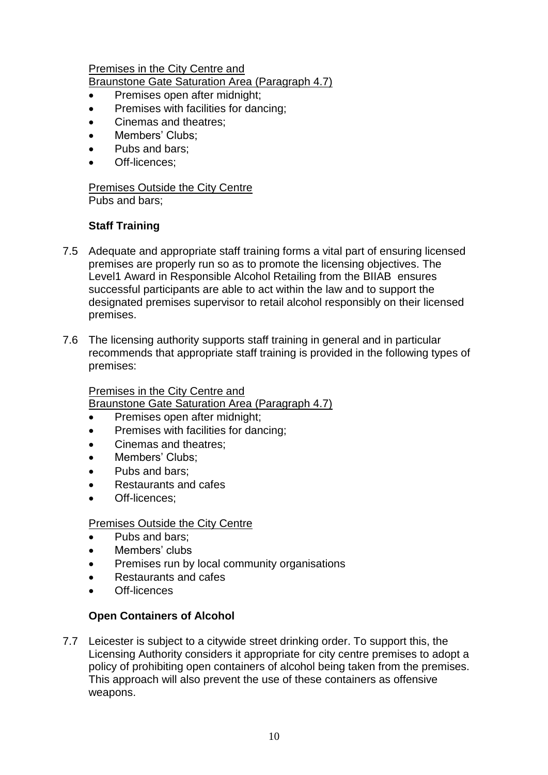#### Premises in the City Centre and

Braunstone Gate Saturation Area (Paragraph 4.7)

- Premises open after midnight;
- Premises with facilities for dancing;
- Cinemas and theatres;
- Members' Clubs;
- Pubs and bars;
- Off-licences;

#### Premises Outside the City Centre Pubs and bars;

#### **Staff Training**

- 7.5 Adequate and appropriate staff training forms a vital part of ensuring licensed premises are properly run so as to promote the licensing objectives. The Level1 Award in Responsible Alcohol Retailing from the BIIAB ensures successful participants are able to act within the law and to support the designated premises supervisor to retail alcohol responsibly on their licensed premises.
- 7.6 The licensing authority supports staff training in general and in particular recommends that appropriate staff training is provided in the following types of premises:

#### Premises in the City Centre and

Braunstone Gate Saturation Area (Paragraph 4.7)

- Premises open after midnight;
- Premises with facilities for dancing;
- Cinemas and theatres;
- Members' Clubs;
- Pubs and bars;
- Restaurants and cafes
- Off-licences;

#### Premises Outside the City Centre

- Pubs and bars;
- Members' clubs
- Premises run by local community organisations
- Restaurants and cafes
- Off-licences

#### **Open Containers of Alcohol**

7.7 Leicester is subject to a citywide street drinking order. To support this, the Licensing Authority considers it appropriate for city centre premises to adopt a policy of prohibiting open containers of alcohol being taken from the premises. This approach will also prevent the use of these containers as offensive weapons.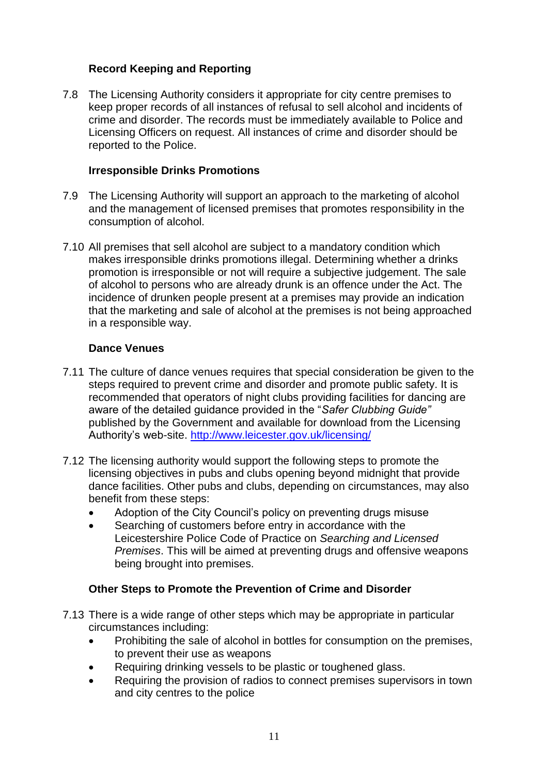#### **Record Keeping and Reporting**

7.8 The Licensing Authority considers it appropriate for city centre premises to keep proper records of all instances of refusal to sell alcohol and incidents of crime and disorder. The records must be immediately available to Police and Licensing Officers on request. All instances of crime and disorder should be reported to the Police.

#### **Irresponsible Drinks Promotions**

- 7.9 The Licensing Authority will support an approach to the marketing of alcohol and the management of licensed premises that promotes responsibility in the consumption of alcohol.
- 7.10 All premises that sell alcohol are subject to a mandatory condition which makes irresponsible drinks promotions illegal. Determining whether a drinks promotion is irresponsible or not will require a subjective judgement. The sale of alcohol to persons who are already drunk is an offence under the Act. The incidence of drunken people present at a premises may provide an indication that the marketing and sale of alcohol at the premises is not being approached in a responsible way.

#### **Dance Venues**

- 7.11 The culture of dance venues requires that special consideration be given to the steps required to prevent crime and disorder and promote public safety. It is recommended that operators of night clubs providing facilities for dancing are aware of the detailed guidance provided in the "*Safer Clubbing Guide"*  published by the Government and available for download from the Licensing Authority's web-site.<http://www.leicester.gov.uk/licensing/>
- 7.12 The licensing authority would support the following steps to promote the licensing objectives in pubs and clubs opening beyond midnight that provide dance facilities. Other pubs and clubs, depending on circumstances, may also benefit from these steps:
	- Adoption of the City Council's policy on preventing drugs misuse
	- Searching of customers before entry in accordance with the Leicestershire Police Code of Practice on *Searching and Licensed Premises*. This will be aimed at preventing drugs and offensive weapons being brought into premises.

#### **Other Steps to Promote the Prevention of Crime and Disorder**

- 7.13 There is a wide range of other steps which may be appropriate in particular circumstances including:
	- Prohibiting the sale of alcohol in bottles for consumption on the premises, to prevent their use as weapons
	- Requiring drinking vessels to be plastic or toughened glass.
	- Requiring the provision of radios to connect premises supervisors in town and city centres to the police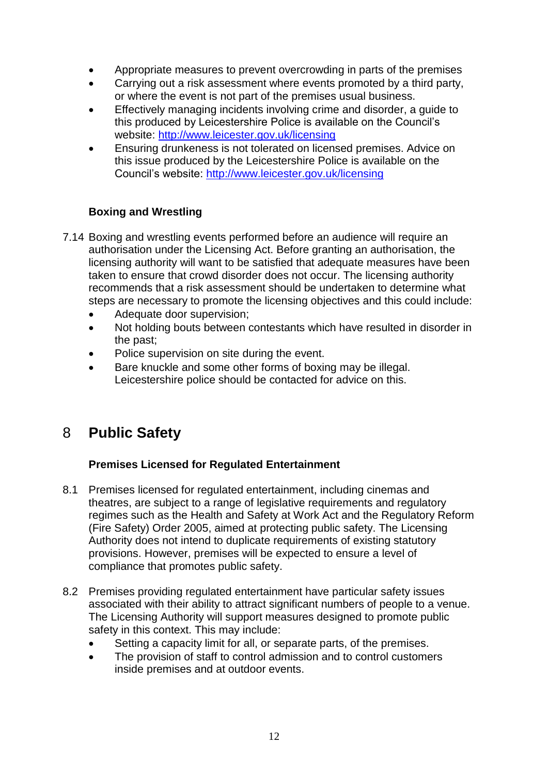- Appropriate measures to prevent overcrowding in parts of the premises
- Carrying out a risk assessment where events promoted by a third party, or where the event is not part of the premises usual business.
- Effectively managing incidents involving crime and disorder, a guide to this produced by Leicestershire Police is available on the Council's website:<http://www.leicester.gov.uk/licensing>
- Ensuring drunkeness is not tolerated on licensed premises. Advice on this issue produced by the Leicestershire Police is available on the Council's website:<http://www.leicester.gov.uk/licensing>

#### **Boxing and Wrestling**

- 7.14 Boxing and wrestling events performed before an audience will require an authorisation under the Licensing Act. Before granting an authorisation, the licensing authority will want to be satisfied that adequate measures have been taken to ensure that crowd disorder does not occur. The licensing authority recommends that a risk assessment should be undertaken to determine what steps are necessary to promote the licensing objectives and this could include:
	- Adequate door supervision;
	- Not holding bouts between contestants which have resulted in disorder in the past;
	- Police supervision on site during the event.
	- Bare knuckle and some other forms of boxing may be illegal. Leicestershire police should be contacted for advice on this.

### <span id="page-11-0"></span>8 **Public Safety**

#### **Premises Licensed for Regulated Entertainment**

- 8.1 Premises licensed for regulated entertainment, including cinemas and theatres, are subject to a range of legislative requirements and regulatory regimes such as the Health and Safety at Work Act and the Regulatory Reform (Fire Safety) Order 2005, aimed at protecting public safety. The Licensing Authority does not intend to duplicate requirements of existing statutory provisions. However, premises will be expected to ensure a level of compliance that promotes public safety.
- <span id="page-11-1"></span>8.2 Premises providing regulated entertainment have particular safety issues associated with their ability to attract significant numbers of people to a venue. The Licensing Authority will support measures designed to promote public safety in this context. This may include:
	- Setting a capacity limit for all, or separate parts, of the premises.
	- The provision of staff to control admission and to control customers inside premises and at outdoor events.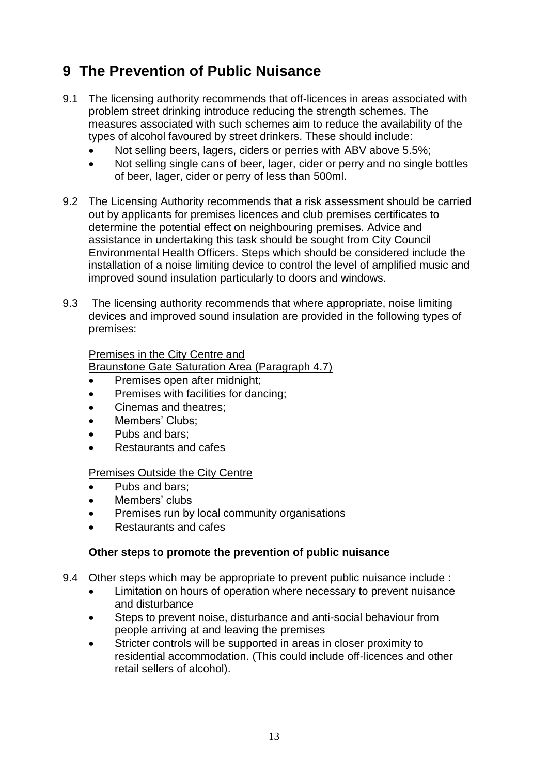# **9 The Prevention of Public Nuisance**

- 9.1 The licensing authority recommends that off-licences in areas associated with problem street drinking introduce reducing the strength schemes. The measures associated with such schemes aim to reduce the availability of the types of alcohol favoured by street drinkers. These should include:
	- Not selling beers, lagers, ciders or perries with ABV above 5.5%;
	- Not selling single cans of beer, lager, cider or perry and no single bottles of beer, lager, cider or perry of less than 500ml.
- 9.2 The Licensing Authority recommends that a risk assessment should be carried out by applicants for premises licences and club premises certificates to determine the potential effect on neighbouring premises. Advice and assistance in undertaking this task should be sought from City Council Environmental Health Officers. Steps which should be considered include the installation of a noise limiting device to control the level of amplified music and improved sound insulation particularly to doors and windows.
- 9.3 The licensing authority recommends that where appropriate, noise limiting devices and improved sound insulation are provided in the following types of premises:

#### Premises in the City Centre and

Braunstone Gate Saturation Area (Paragraph 4.7)

- Premises open after midnight;
- Premises with facilities for dancing;
- Cinemas and theatres;
- Members' Clubs;
- Pubs and bars;
- Restaurants and cafes

#### Premises Outside the City Centre

- Pubs and bars;
- Members' clubs
- Premises run by local community organisations
- Restaurants and cafes

#### **Other steps to promote the prevention of public nuisance**

- <span id="page-12-0"></span>9.4 Other steps which may be appropriate to prevent public nuisance include :
	- Limitation on hours of operation where necessary to prevent nuisance and disturbance
	- Steps to prevent noise, disturbance and anti-social behaviour from people arriving at and leaving the premises
	- Stricter controls will be supported in areas in closer proximity to residential accommodation. (This could include off-licences and other retail sellers of alcohol).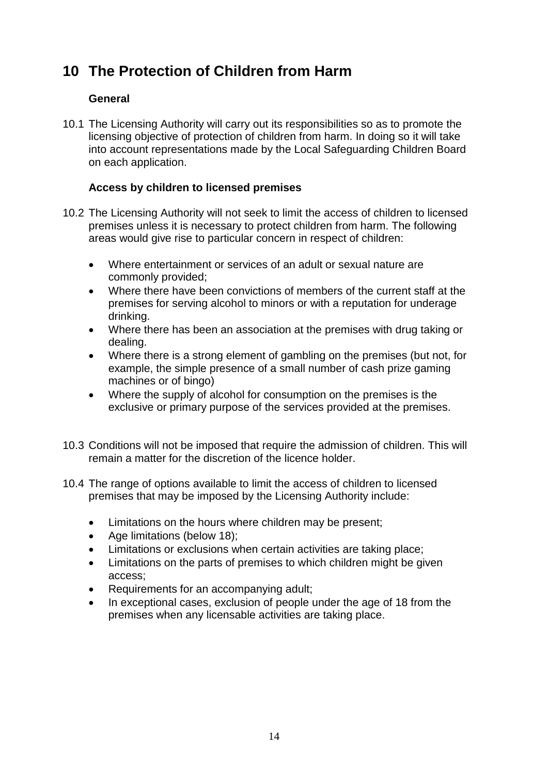### **10 The Protection of Children from Harm**

#### **General**

10.1 The Licensing Authority will carry out its responsibilities so as to promote the licensing objective of protection of children from harm. In doing so it will take into account representations made by the Local Safeguarding Children Board on each application.

#### **Access by children to licensed premises**

- 10.2 The Licensing Authority will not seek to limit the access of children to licensed premises unless it is necessary to protect children from harm. The following areas would give rise to particular concern in respect of children:
	- Where entertainment or services of an adult or sexual nature are commonly provided;
	- Where there have been convictions of members of the current staff at the premises for serving alcohol to minors or with a reputation for underage drinking.
	- Where there has been an association at the premises with drug taking or dealing.
	- Where there is a strong element of gambling on the premises (but not, for example, the simple presence of a small number of cash prize gaming machines or of bingo)
	- Where the supply of alcohol for consumption on the premises is the exclusive or primary purpose of the services provided at the premises.
- 10.3 Conditions will not be imposed that require the admission of children. This will remain a matter for the discretion of the licence holder.
- 10.4 The range of options available to limit the access of children to licensed premises that may be imposed by the Licensing Authority include:
	- Limitations on the hours where children may be present;
	- Age limitations (below 18);
	- Limitations or exclusions when certain activities are taking place;
	- Limitations on the parts of premises to which children might be given access;
	- Requirements for an accompanying adult;
	- In exceptional cases, exclusion of people under the age of 18 from the premises when any licensable activities are taking place.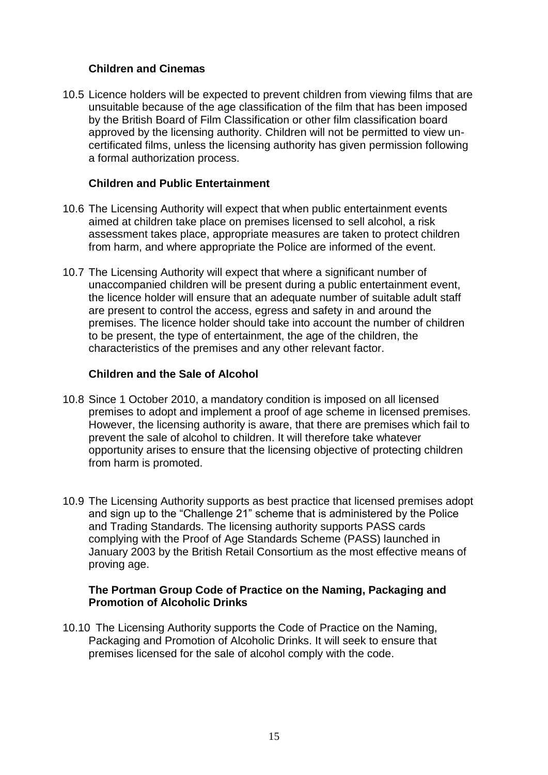#### **Children and Cinemas**

10.5 Licence holders will be expected to prevent children from viewing films that are unsuitable because of the age classification of the film that has been imposed by the British Board of Film Classification or other film classification board approved by the licensing authority. Children will not be permitted to view uncertificated films, unless the licensing authority has given permission following a formal authorization process.

#### **Children and Public Entertainment**

- 10.6 The Licensing Authority will expect that when public entertainment events aimed at children take place on premises licensed to sell alcohol, a risk assessment takes place, appropriate measures are taken to protect children from harm, and where appropriate the Police are informed of the event.
- 10.7 The Licensing Authority will expect that where a significant number of unaccompanied children will be present during a public entertainment event, the licence holder will ensure that an adequate number of suitable adult staff are present to control the access, egress and safety in and around the premises. The licence holder should take into account the number of children to be present, the type of entertainment, the age of the children, the characteristics of the premises and any other relevant factor.

#### **Children and the Sale of Alcohol**

- 10.8 Since 1 October 2010, a mandatory condition is imposed on all licensed premises to adopt and implement a proof of age scheme in licensed premises. However, the licensing authority is aware, that there are premises which fail to prevent the sale of alcohol to children. It will therefore take whatever opportunity arises to ensure that the licensing objective of protecting children from harm is promoted.
- 10.9 The Licensing Authority supports as best practice that licensed premises adopt and sign up to the "Challenge 21" scheme that is administered by the Police and Trading Standards. The licensing authority supports PASS cards complying with the Proof of Age Standards Scheme (PASS) launched in January 2003 by the British Retail Consortium as the most effective means of proving age.

#### **The Portman Group Code of Practice on the Naming, Packaging and Promotion of Alcoholic Drinks**

<span id="page-14-0"></span>10.10 The Licensing Authority supports the Code of Practice on the Naming, Packaging and Promotion of Alcoholic Drinks. It will seek to ensure that premises licensed for the sale of alcohol comply with the code.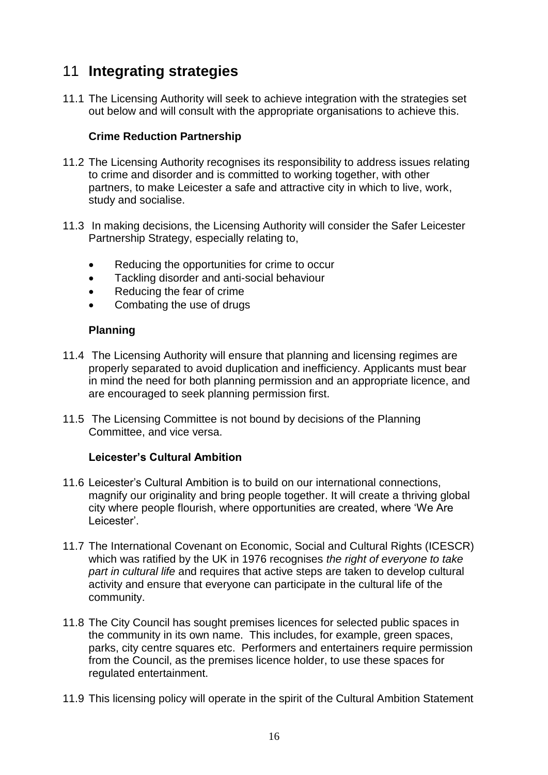# 11 **Integrating strategies**

11.1 The Licensing Authority will seek to achieve integration with the strategies set out below and will consult with the appropriate organisations to achieve this.

#### **Crime Reduction Partnership**

- 11.2 The Licensing Authority recognises its responsibility to address issues relating to crime and disorder and is committed to working together, with other partners, to make Leicester a safe and attractive city in which to live, work, study and socialise.
- 11.3 In making decisions, the Licensing Authority will consider the Safer Leicester Partnership Strategy, especially relating to,
	- Reducing the opportunities for crime to occur
	- Tackling disorder and anti-social behaviour
	- Reducing the fear of crime
	- Combating the use of drugs

#### **Planning**

- 11.4 The Licensing Authority will ensure that planning and licensing regimes are properly separated to avoid duplication and inefficiency. Applicants must bear in mind the need for both planning permission and an appropriate licence, and are encouraged to seek planning permission first.
- 11.5 The Licensing Committee is not bound by decisions of the Planning Committee, and vice versa.

#### **Leicester's Cultural Ambition**

- 11.6 Leicester's Cultural Ambition is to build on our international connections, magnify our originality and bring people together. It will create a thriving global city where people flourish, where opportunities are created, where 'We Are Leicester'
- 11.7 The International Covenant on Economic, Social and Cultural Rights (ICESCR) which was ratified by the UK in 1976 recognises *the right of everyone to take part in cultural life* and requires that active steps are taken to develop cultural activity and ensure that everyone can participate in the cultural life of the community.
- 11.8 The City Council has sought premises licences for selected public spaces in the community in its own name. This includes, for example, green spaces, parks, city centre squares etc. Performers and entertainers require permission from the Council, as the premises licence holder, to use these spaces for regulated entertainment.
- 11.9 This licensing policy will operate in the spirit of the Cultural Ambition Statement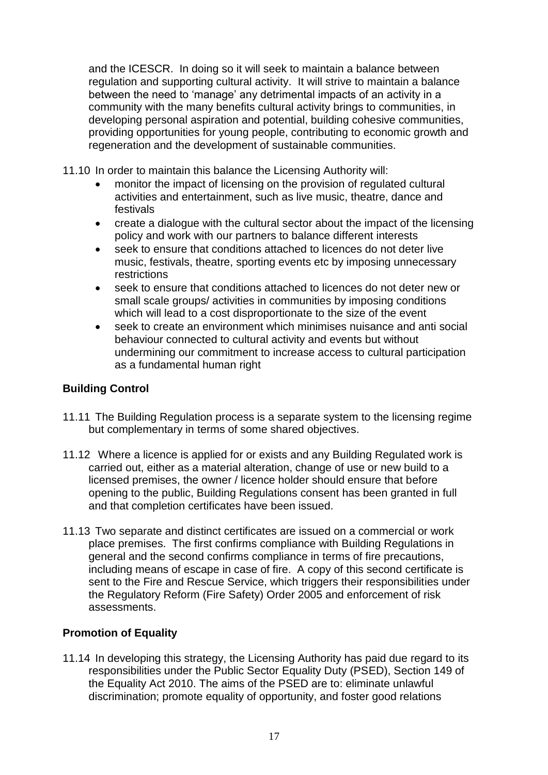and the ICESCR. In doing so it will seek to maintain a balance between regulation and supporting cultural activity. It will strive to maintain a balance between the need to 'manage' any detrimental impacts of an activity in a community with the many benefits cultural activity brings to communities, in developing personal aspiration and potential, building cohesive communities, providing opportunities for young people, contributing to economic growth and regeneration and the development of sustainable communities.

11.10 In order to maintain this balance the Licensing Authority will:

- monitor the impact of licensing on the provision of regulated cultural activities and entertainment, such as live music, theatre, dance and festivals
- create a dialogue with the cultural sector about the impact of the licensing policy and work with our partners to balance different interests
- seek to ensure that conditions attached to licences do not deter live music, festivals, theatre, sporting events etc by imposing unnecessary restrictions
- seek to ensure that conditions attached to licences do not deter new or small scale groups/ activities in communities by imposing conditions which will lead to a cost disproportionate to the size of the event
- seek to create an environment which minimises nuisance and anti social behaviour connected to cultural activity and events but without undermining our commitment to increase access to cultural participation as a fundamental human right

#### **Building Control**

- 11.11 The Building Regulation process is a separate system to the licensing regime but complementary in terms of some shared objectives.
- 11.12 Where a licence is applied for or exists and any Building Regulated work is carried out, either as a material alteration, change of use or new build to a licensed premises, the owner / licence holder should ensure that before opening to the public, Building Regulations consent has been granted in full and that completion certificates have been issued.
- 11.13 Two separate and distinct certificates are issued on a commercial or work place premises. The first confirms compliance with Building Regulations in general and the second confirms compliance in terms of fire precautions, including means of escape in case of fire. A copy of this second certificate is sent to the Fire and Rescue Service, which triggers their responsibilities under the Regulatory Reform (Fire Safety) Order 2005 and enforcement of risk assessments.

#### **Promotion of Equality**

11.14 In developing this strategy, the Licensing Authority has paid due regard to its responsibilities under the Public Sector Equality Duty (PSED), Section 149 of the Equality Act 2010. The aims of the PSED are to: eliminate unlawful discrimination; promote equality of opportunity, and foster good relations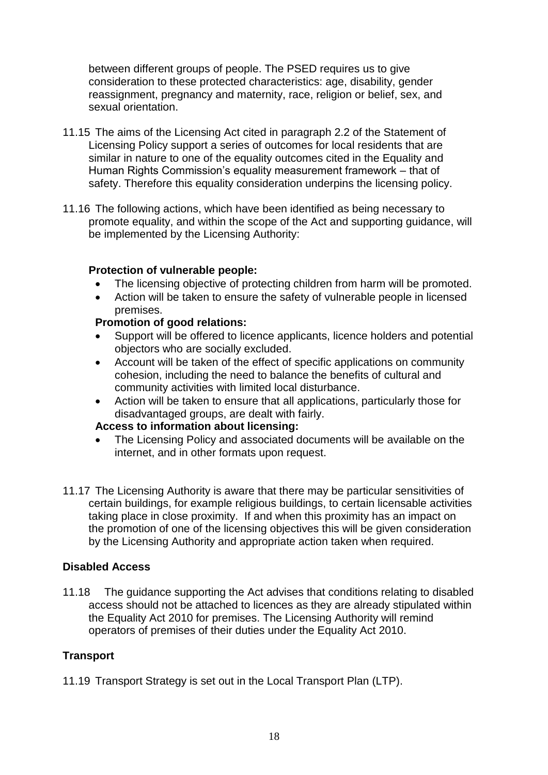between different groups of people. The PSED requires us to give consideration to these protected characteristics: age, disability, gender reassignment, pregnancy and maternity, race, religion or belief, sex, and sexual orientation.

- 11.15 The aims of the Licensing Act cited in paragraph 2.2 of the Statement of Licensing Policy support a series of outcomes for local residents that are similar in nature to one of the equality outcomes cited in the Equality and Human Rights Commission's equality measurement framework – that of safety. Therefore this equality consideration underpins the licensing policy.
- 11.16 The following actions, which have been identified as being necessary to promote equality, and within the scope of the Act and supporting guidance, will be implemented by the Licensing Authority:

#### **Protection of vulnerable people:**

- The licensing objective of protecting children from harm will be promoted.
- Action will be taken to ensure the safety of vulnerable people in licensed premises.

#### **Promotion of good relations:**

- Support will be offered to licence applicants, licence holders and potential objectors who are socially excluded.
- Account will be taken of the effect of specific applications on community cohesion, including the need to balance the benefits of cultural and community activities with limited local disturbance.
- Action will be taken to ensure that all applications, particularly those for disadvantaged groups, are dealt with fairly.

#### **Access to information about licensing:**

- The Licensing Policy and associated documents will be available on the internet, and in other formats upon request.
- 11.17 The Licensing Authority is aware that there may be particular sensitivities of certain buildings, for example religious buildings, to certain licensable activities taking place in close proximity. If and when this proximity has an impact on the promotion of one of the licensing objectives this will be given consideration by the Licensing Authority and appropriate action taken when required.

#### **Disabled Access**

11.18 The guidance supporting the Act advises that conditions relating to disabled access should not be attached to licences as they are already stipulated within the Equality Act 2010 for premises. The Licensing Authority will remind operators of premises of their duties under the Equality Act 2010.

#### **Transport**

11.19 Transport Strategy is set out in the Local Transport Plan (LTP).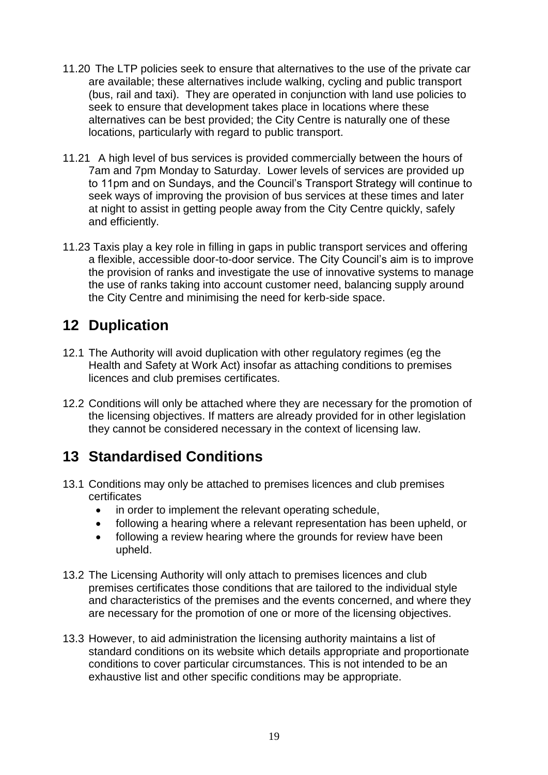- 11.20 The LTP policies seek to ensure that alternatives to the use of the private car are available; these alternatives include walking, cycling and public transport (bus, rail and taxi). They are operated in conjunction with land use policies to seek to ensure that development takes place in locations where these alternatives can be best provided; the City Centre is naturally one of these locations, particularly with regard to public transport.
- 11.21 A high level of bus services is provided commercially between the hours of 7am and 7pm Monday to Saturday. Lower levels of services are provided up to 11pm and on Sundays, and the Council's Transport Strategy will continue to seek ways of improving the provision of bus services at these times and later at night to assist in getting people away from the City Centre quickly, safely and efficiently.
- 11.23 Taxis play a key role in filling in gaps in public transport services and offering a flexible, accessible door-to-door service. The City Council's aim is to improve the provision of ranks and investigate the use of innovative systems to manage the use of ranks taking into account customer need, balancing supply around the City Centre and minimising the need for kerb-side space.

# <span id="page-18-0"></span>**12 Duplication**

- 12.1 The Authority will avoid duplication with other regulatory regimes (eg the Health and Safety at Work Act) insofar as attaching conditions to premises licences and club premises certificates.
- 12.2 Conditions will only be attached where they are necessary for the promotion of the licensing objectives. If matters are already provided for in other legislation they cannot be considered necessary in the context of licensing law.

# <span id="page-18-1"></span>**13 Standardised Conditions**

- 13.1 Conditions may only be attached to premises licences and club premises certificates
	- in order to implement the relevant operating schedule,
	- following a hearing where a relevant representation has been upheld, or
	- following a review hearing where the grounds for review have been upheld.
- 13.2 The Licensing Authority will only attach to premises licences and club premises certificates those conditions that are tailored to the individual style and characteristics of the premises and the events concerned, and where they are necessary for the promotion of one or more of the licensing objectives.
- 13.3 However, to aid administration the licensing authority maintains a list of standard conditions on its website which details appropriate and proportionate conditions to cover particular circumstances. This is not intended to be an exhaustive list and other specific conditions may be appropriate.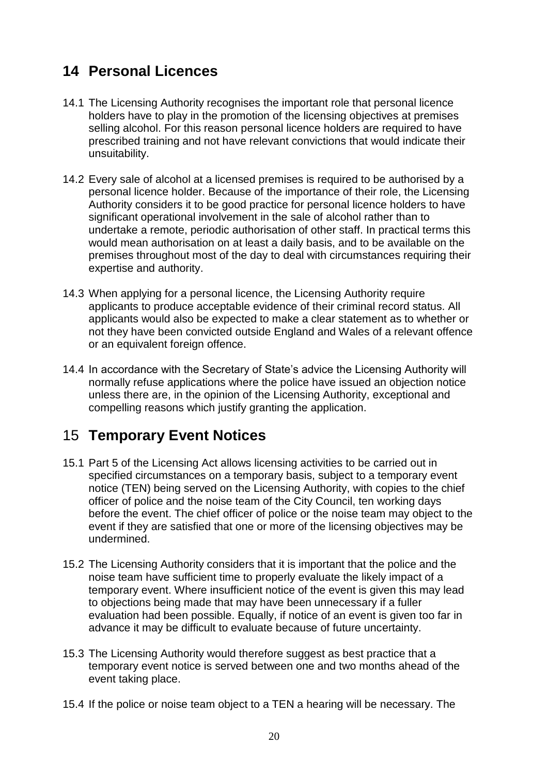# <span id="page-19-0"></span>**14 Personal Licences**

- 14.1 The Licensing Authority recognises the important role that personal licence holders have to play in the promotion of the licensing objectives at premises selling alcohol. For this reason personal licence holders are required to have prescribed training and not have relevant convictions that would indicate their unsuitability.
- 14.2 Every sale of alcohol at a licensed premises is required to be authorised by a personal licence holder. Because of the importance of their role, the Licensing Authority considers it to be good practice for personal licence holders to have significant operational involvement in the sale of alcohol rather than to undertake a remote, periodic authorisation of other staff. In practical terms this would mean authorisation on at least a daily basis, and to be available on the premises throughout most of the day to deal with circumstances requiring their expertise and authority.
- 14.3 When applying for a personal licence, the Licensing Authority require applicants to produce acceptable evidence of their criminal record status. All applicants would also be expected to make a clear statement as to whether or not they have been convicted outside England and Wales of a relevant offence or an equivalent foreign offence.
- 14.4 In accordance with the Secretary of State's advice the Licensing Authority will normally refuse applications where the police have issued an objection notice unless there are, in the opinion of the Licensing Authority, exceptional and compelling reasons which justify granting the application.

### <span id="page-19-1"></span>15 **Temporary Event Notices**

- 15.1 Part 5 of the Licensing Act allows licensing activities to be carried out in specified circumstances on a temporary basis, subject to a temporary event notice (TEN) being served on the Licensing Authority, with copies to the chief officer of police and the noise team of the City Council, ten working days before the event. The chief officer of police or the noise team may object to the event if they are satisfied that one or more of the licensing objectives may be undermined.
- 15.2 The Licensing Authority considers that it is important that the police and the noise team have sufficient time to properly evaluate the likely impact of a temporary event. Where insufficient notice of the event is given this may lead to objections being made that may have been unnecessary if a fuller evaluation had been possible. Equally, if notice of an event is given too far in advance it may be difficult to evaluate because of future uncertainty.
- 15.3 The Licensing Authority would therefore suggest as best practice that a temporary event notice is served between one and two months ahead of the event taking place.
- 15.4 If the police or noise team object to a TEN a hearing will be necessary. The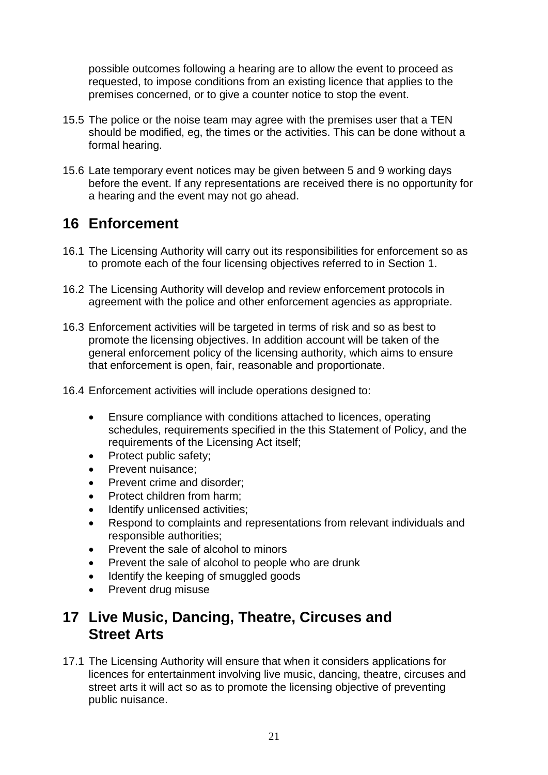possible outcomes following a hearing are to allow the event to proceed as requested, to impose conditions from an existing licence that applies to the premises concerned, or to give a counter notice to stop the event.

- 15.5 The police or the noise team may agree with the premises user that a TEN should be modified, eg, the times or the activities. This can be done without a formal hearing.
- 15.6 Late temporary event notices may be given between 5 and 9 working days before the event. If any representations are received there is no opportunity for a hearing and the event may not go ahead.

### <span id="page-20-0"></span>**16 Enforcement**

- 16.1 The Licensing Authority will carry out its responsibilities for enforcement so as to promote each of the four licensing objectives referred to in Section 1.
- 16.2 The Licensing Authority will develop and review enforcement protocols in agreement with the police and other enforcement agencies as appropriate.
- 16.3 Enforcement activities will be targeted in terms of risk and so as best to promote the licensing objectives. In addition account will be taken of the general enforcement policy of the licensing authority, which aims to ensure that enforcement is open, fair, reasonable and proportionate.
- 16.4 Enforcement activities will include operations designed to:
	- Ensure compliance with conditions attached to licences, operating schedules, requirements specified in the this Statement of Policy, and the requirements of the Licensing Act itself;
	- Protect public safety;
	- Prevent nuisance;
	- Prevent crime and disorder;
	- Protect children from harm;
	- Identify unlicensed activities;
	- Respond to complaints and representations from relevant individuals and responsible authorities;
	- Prevent the sale of alcohol to minors
	- Prevent the sale of alcohol to people who are drunk
	- Identify the keeping of smuggled goods
	- Prevent drug misuse

### <span id="page-20-1"></span>**17 Live Music, Dancing, Theatre, Circuses and Street Arts**

17.1 The Licensing Authority will ensure that when it considers applications for licences for entertainment involving live music, dancing, theatre, circuses and street arts it will act so as to promote the licensing objective of preventing public nuisance.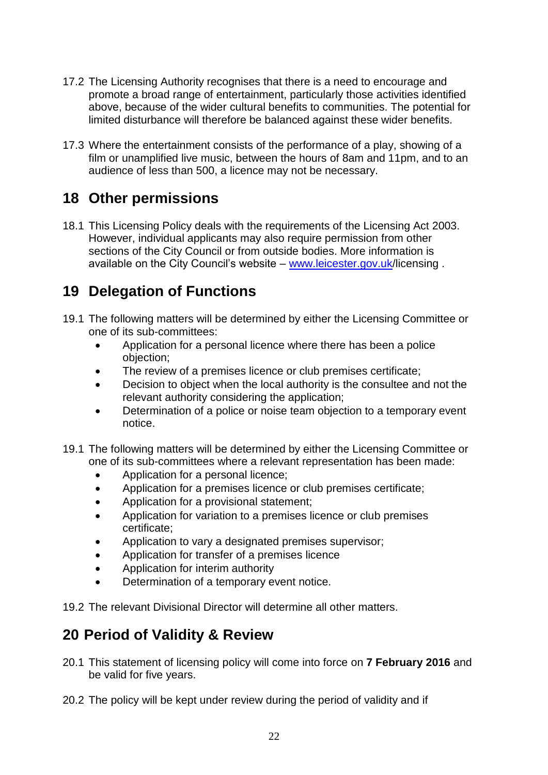- 17.2 The Licensing Authority recognises that there is a need to encourage and promote a broad range of entertainment, particularly those activities identified above, because of the wider cultural benefits to communities. The potential for limited disturbance will therefore be balanced against these wider benefits.
- 17.3 Where the entertainment consists of the performance of a play, showing of a film or unamplified live music, between the hours of 8am and 11pm, and to an audience of less than 500, a licence may not be necessary.

### <span id="page-21-0"></span>**18 Other permissions**

18.1 This Licensing Policy deals with the requirements of the Licensing Act 2003. However, individual applicants may also require permission from other sections of the City Council or from outside bodies. More information is available on the City Council's website – [www.leicester.gov.uk/](http://www.leicester.gov.uk/)licensing.

### **19 Delegation of Functions**

- 19.1 The following matters will be determined by either the Licensing Committee or one of its sub-committees:
	- Application for a personal licence where there has been a police objection;
	- The review of a premises licence or club premises certificate:
	- Decision to object when the local authority is the consultee and not the relevant authority considering the application;
	- Determination of a police or noise team objection to a temporary event notice.
- 19.1 The following matters will be determined by either the Licensing Committee or one of its sub-committees where a relevant representation has been made:
	- Application for a personal licence;
	- Application for a premises licence or club premises certificate;
	- Application for a provisional statement;
	- Application for variation to a premises licence or club premises certificate;
	- Application to vary a designated premises supervisor;
	- Application for transfer of a premises licence
	- Application for interim authority
	- Determination of a temporary event notice.

19.2 The relevant Divisional Director will determine all other matters.

### **20 Period of Validity & Review**

- 20.1 This statement of licensing policy will come into force on **7 February 2016** and be valid for five years.
- 20.2 The policy will be kept under review during the period of validity and if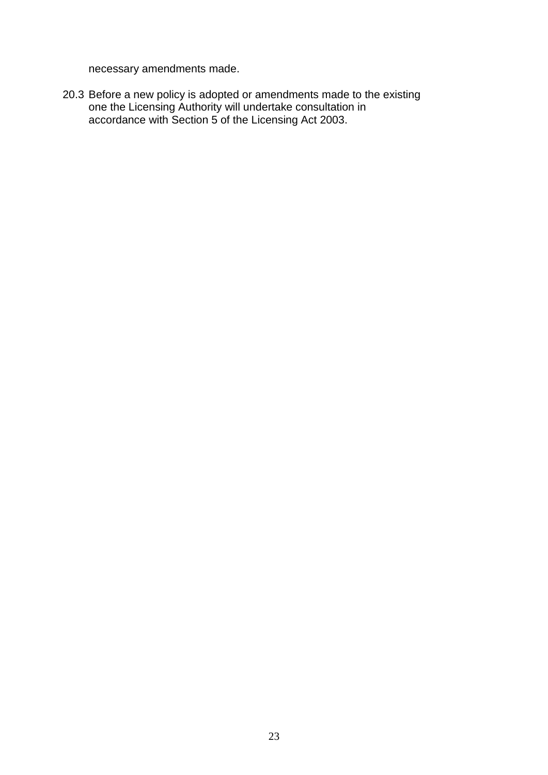necessary amendments made.

20.3 Before a new policy is adopted or amendments made to the existing one the Licensing Authority will undertake consultation in accordance with Section 5 of the Licensing Act 2003.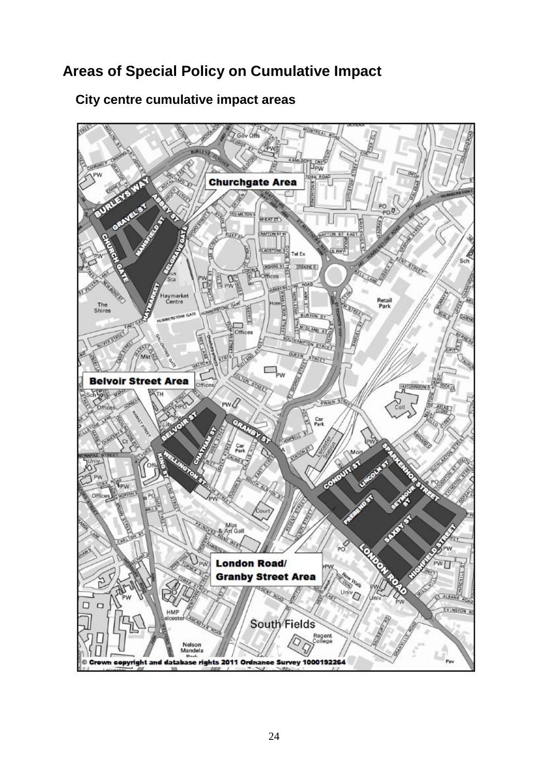# **Areas of Special Policy on Cumulative Impact**

<span id="page-23-0"></span>

### **City centre cumulative impact areas**